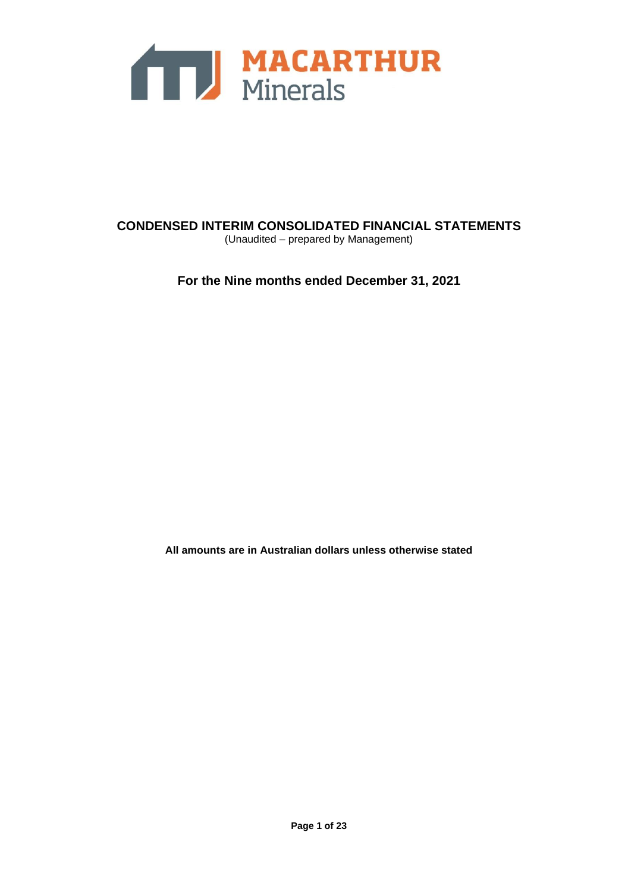

**CONDENSED INTERIM CONSOLIDATED FINANCIAL STATEMENTS** (Unaudited – prepared by Management)

**For the Nine months ended December 31, 2021**

**All amounts are in Australian dollars unless otherwise stated**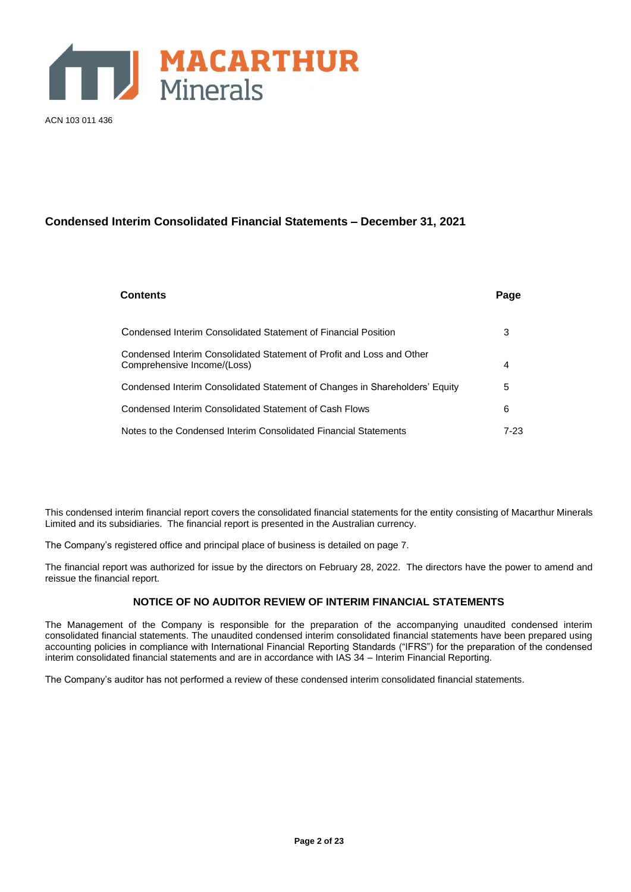

ACN 103 011 436

# **Condensed Interim Consolidated Financial Statements – December 31, 2021**

| <b>Contents</b>                                                                                      | Page |
|------------------------------------------------------------------------------------------------------|------|
| Condensed Interim Consolidated Statement of Financial Position                                       | 3    |
| Condensed Interim Consolidated Statement of Profit and Loss and Other<br>Comprehensive Income/(Loss) | 4    |
| Condensed Interim Consolidated Statement of Changes in Shareholders' Equity                          | 5    |
| Condensed Interim Consolidated Statement of Cash Flows                                               | 6    |
| Notes to the Condensed Interim Consolidated Financial Statements                                     | 7-23 |

This condensed interim financial report covers the consolidated financial statements for the entity consisting of Macarthur Minerals Limited and its subsidiaries. The financial report is presented in the Australian currency.

The Company's registered office and principal place of business is detailed on page 7.

The financial report was authorized for issue by the directors on February 28, 2022. The directors have the power to amend and reissue the financial report.

# **NOTICE OF NO AUDITOR REVIEW OF INTERIM FINANCIAL STATEMENTS**

The Management of the Company is responsible for the preparation of the accompanying unaudited condensed interim consolidated financial statements. The unaudited condensed interim consolidated financial statements have been prepared using accounting policies in compliance with International Financial Reporting Standards ("IFRS") for the preparation of the condensed interim consolidated financial statements and are in accordance with IAS 34 – Interim Financial Reporting.

The Company's auditor has not performed a review of these condensed interim consolidated financial statements.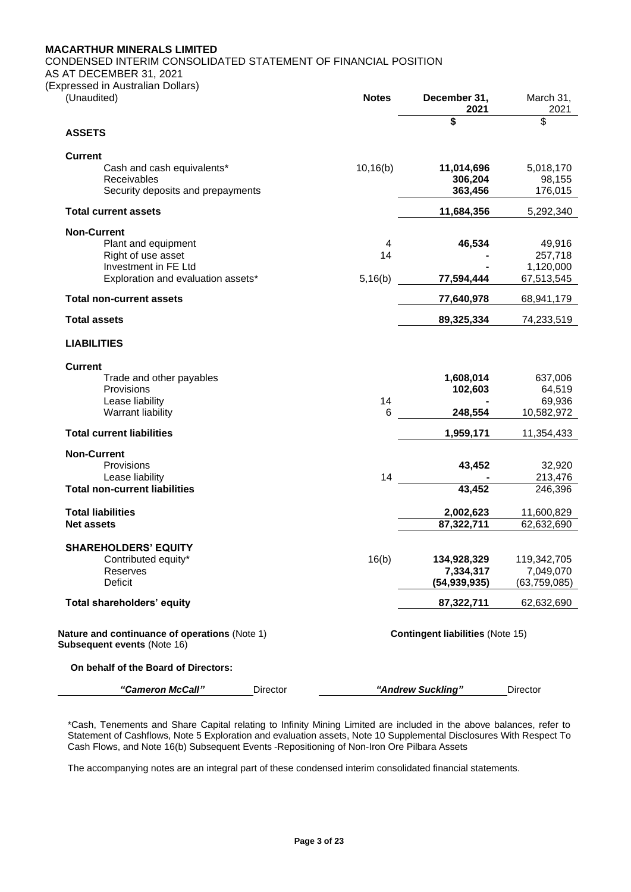CONDENSED INTERIM CONSOLIDATED STATEMENT OF FINANCIAL POSITION

AS AT DECEMBER 31, 2021

(Expressed in Australian Dollars)

| (Unaudited)                                                | <b>Notes</b> | December 31,<br>2021                    | March 31,<br>2021       |
|------------------------------------------------------------|--------------|-----------------------------------------|-------------------------|
|                                                            |              | \$                                      | \$                      |
| <b>ASSETS</b>                                              |              |                                         |                         |
| <b>Current</b>                                             |              |                                         |                         |
| Cash and cash equivalents*<br><b>Receivables</b>           | 10, 16(b)    | 11,014,696<br>306,204                   | 5,018,170<br>98,155     |
| Security deposits and prepayments                          |              | 363,456                                 | 176,015                 |
|                                                            |              |                                         |                         |
| <b>Total current assets</b>                                |              | 11,684,356                              | 5,292,340               |
| <b>Non-Current</b>                                         |              |                                         |                         |
| Plant and equipment                                        | 4            | 46,534                                  | 49,916                  |
| Right of use asset                                         | 14           |                                         | 257,718                 |
| Investment in FE Ltd<br>Exploration and evaluation assets* | 5,16(b)      | 77,594,444                              | 1,120,000<br>67,513,545 |
| <b>Total non-current assets</b>                            |              | 77,640,978                              | 68,941,179              |
| <b>Total assets</b>                                        |              | 89,325,334                              | 74,233,519              |
|                                                            |              |                                         |                         |
| <b>LIABILITIES</b>                                         |              |                                         |                         |
| <b>Current</b>                                             |              |                                         |                         |
| Trade and other payables                                   |              | 1,608,014                               | 637,006                 |
| Provisions                                                 |              | 102,603                                 | 64,519                  |
| Lease liability                                            | 14           |                                         | 69,936                  |
| Warrant liability                                          | 6            | 248,554                                 | 10,582,972              |
| <b>Total current liabilities</b>                           |              | 1,959,171                               | 11,354,433              |
| <b>Non-Current</b>                                         |              |                                         |                         |
| Provisions                                                 |              | 43,452                                  | 32,920                  |
| Lease liability                                            | 14           |                                         | 213,476                 |
| <b>Total non-current liabilities</b>                       |              | 43,452                                  | 246,396                 |
| <b>Total liabilities</b>                                   |              | 2,002,623                               | 11,600,829              |
| <b>Net assets</b>                                          |              | 87,322,711                              | 62,632,690              |
| <b>SHAREHOLDERS' EQUITY</b>                                |              |                                         |                         |
| Contributed equity*                                        | 16(b)        | 134,928,329                             | 119,342,705             |
| Reserves                                                   |              | 7,334,317                               | 7,049,070               |
| <b>Deficit</b>                                             |              | (54, 939, 935)                          | (63, 759, 085)          |
| Total shareholders' equity                                 |              | 87,322,711                              | 62,632,690              |
|                                                            |              |                                         |                         |
| Nature and continuance of operations (Note 1)              |              | <b>Contingent liabilities (Note 15)</b> |                         |
| Subsequent events (Note 16)                                |              |                                         |                         |
| On behalf of the Board of Directors:                       |              |                                         |                         |
| "Cameron McCall"<br>Director                               |              | "Andrew Suckling"                       | <b>Director</b>         |

\*Cash, Tenements and Share Capital relating to Infinity Mining Limited are included in the above balances, refer to Statement of Cashflows, Note 5 Exploration and evaluation assets, Note 10 Supplemental Disclosures With Respect To Cash Flows, and Note 16(b) Subsequent Events -Repositioning of Non-Iron Ore Pilbara Assets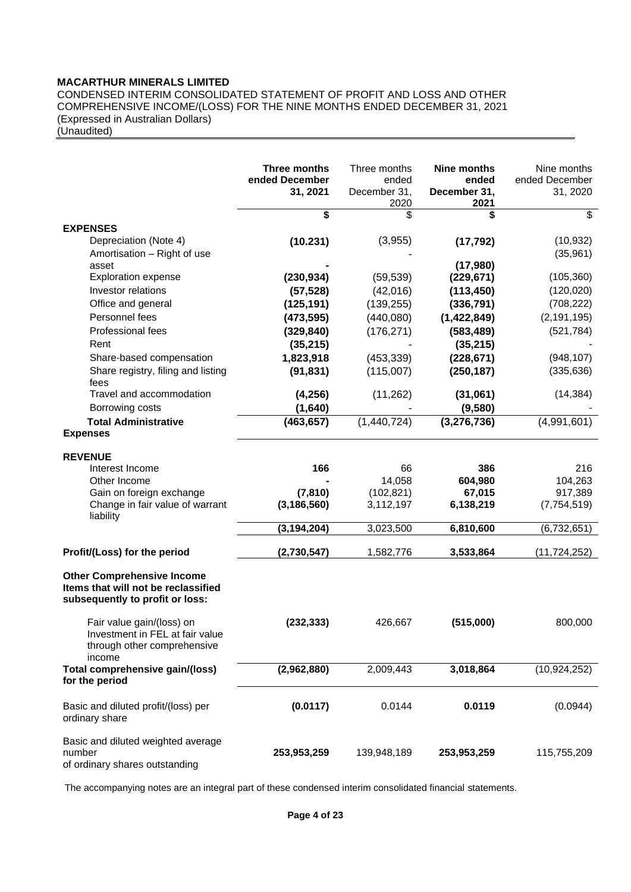CONDENSED INTERIM CONSOLIDATED STATEMENT OF PROFIT AND LOSS AND OTHER COMPREHENSIVE INCOME/(LOSS) FOR THE NINE MONTHS ENDED DECEMBER 31, 2021 (Expressed in Australian Dollars)

(Unaudited)

|                                                                                                             | Three months<br>ended December<br>31, 2021 | Three months<br>ended<br>December 31,<br>2020 | <b>Nine months</b><br>ended<br>December 31,<br>2021 | Nine months<br>ended December<br>31, 2020 |
|-------------------------------------------------------------------------------------------------------------|--------------------------------------------|-----------------------------------------------|-----------------------------------------------------|-------------------------------------------|
| <b>EXPENSES</b>                                                                                             | \$                                         | \$                                            | \$                                                  | \$                                        |
| Depreciation (Note 4)<br>Amortisation - Right of use                                                        | (10.231)                                   | (3,955)                                       | (17, 792)                                           | (10, 932)<br>(35,961)                     |
| asset<br><b>Exploration expense</b>                                                                         |                                            |                                               | (17,980)                                            |                                           |
| Investor relations                                                                                          | (230, 934)                                 | (59, 539)<br>(42,016)                         | (229, 671)<br>(113, 450)                            | (105, 360)<br>(120, 020)                  |
| Office and general                                                                                          | (57, 528)<br>(125, 191)                    | (139, 255)                                    | (336, 791)                                          | (708, 222)                                |
| Personnel fees                                                                                              |                                            |                                               | (1,422,849)                                         | (2, 191, 195)                             |
| Professional fees                                                                                           | (473, 595)                                 | (440,080)                                     |                                                     |                                           |
|                                                                                                             | (329, 840)                                 | (176, 271)                                    | (583, 489)                                          | (521, 784)                                |
| Rent                                                                                                        | (35, 215)                                  |                                               | (35, 215)                                           |                                           |
| Share-based compensation                                                                                    | 1,823,918                                  | (453, 339)                                    | (228, 671)                                          | (948, 107)                                |
| Share registry, filing and listing<br>fees                                                                  | (91, 831)                                  | (115,007)                                     | (250, 187)                                          | (335, 636)                                |
| Travel and accommodation                                                                                    | (4, 256)                                   | (11, 262)                                     | (31,061)                                            | (14, 384)                                 |
| Borrowing costs                                                                                             | (1,640)                                    |                                               | (9,580)                                             |                                           |
| <b>Total Administrative</b><br><b>Expenses</b>                                                              | (463, 657)                                 | (1,440,724)                                   | (3, 276, 736)                                       | (4,991,601)                               |
| <b>REVENUE</b>                                                                                              |                                            |                                               |                                                     |                                           |
| Interest Income                                                                                             | 166                                        | 66                                            | 386                                                 | 216                                       |
| Other Income                                                                                                |                                            | 14,058                                        | 604,980                                             | 104,263                                   |
| Gain on foreign exchange                                                                                    | (7, 810)                                   | (102, 821)                                    | 67,015                                              | 917,389                                   |
| Change in fair value of warrant<br>liability                                                                | (3, 186, 560)                              | 3,112,197                                     | 6,138,219                                           | (7,754,519)                               |
|                                                                                                             | (3, 194, 204)                              | 3,023,500                                     | 6,810,600                                           | (6,732,651)                               |
| Profit/(Loss) for the period                                                                                | (2,730,547)                                | 1,582,776                                     | 3,533,864                                           | (11, 724, 252)                            |
| <b>Other Comprehensive Income</b><br>Items that will not be reclassified<br>subsequently to profit or loss: |                                            |                                               |                                                     |                                           |
| Fair value gain/(loss) on<br>Investment in FEL at fair value<br>through other comprehensive<br>income       | (232, 333)                                 | 426,667                                       | (515,000)                                           | 800,000                                   |
| Total comprehensive gain/(loss)<br>for the period                                                           | (2,962,880)                                | 2,009,443                                     | 3,018,864                                           | (10, 924, 252)                            |
| Basic and diluted profit/(loss) per<br>ordinary share                                                       | (0.0117)                                   | 0.0144                                        | 0.0119                                              | (0.0944)                                  |
| Basic and diluted weighted average<br>number<br>of ordinary shares outstanding                              | 253,953,259                                | 139,948,189                                   | 253,953,259                                         | 115,755,209                               |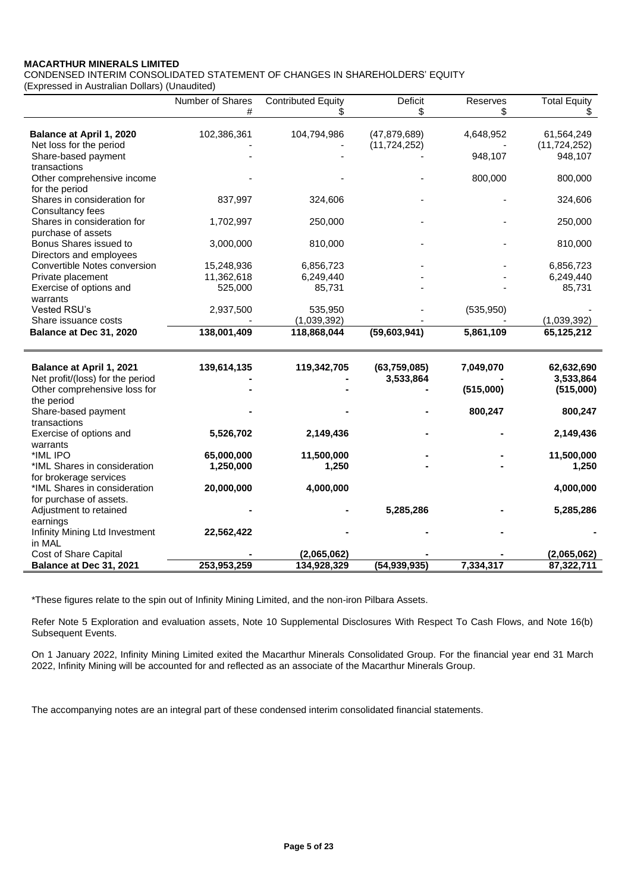CONDENSED INTERIM CONSOLIDATED STATEMENT OF CHANGES IN SHAREHOLDERS' EQUITY

(Expressed in Australian Dollars) (Unaudited)

|                                  | Number of Shares | <b>Contributed Equity</b> | <b>Deficit</b> | Reserves   | <b>Total Equity</b> |
|----------------------------------|------------------|---------------------------|----------------|------------|---------------------|
|                                  | #                |                           | \$             | \$         | \$                  |
|                                  |                  |                           |                |            |                     |
| Balance at April 1, 2020         | 102,386,361      | 104,794,986               | (47, 879, 689) | 4,648,952  | 61,564,249          |
| Net loss for the period          |                  |                           | (11, 724, 252) |            | (11, 724, 252)      |
| Share-based payment              |                  |                           |                | 948,107    | 948,107             |
| transactions                     |                  |                           |                |            |                     |
| Other comprehensive income       |                  |                           |                | 800,000    | 800,000             |
| for the period                   |                  |                           |                |            |                     |
| Shares in consideration for      | 837,997          | 324,606                   |                |            | 324,606             |
| Consultancy fees                 |                  |                           |                |            |                     |
| Shares in consideration for      | 1,702,997        | 250,000                   |                |            | 250,000             |
| purchase of assets               |                  |                           |                |            |                     |
| Bonus Shares issued to           | 3,000,000        | 810,000                   |                |            | 810,000             |
| Directors and employees          |                  |                           |                |            |                     |
| Convertible Notes conversion     | 15,248,936       | 6,856,723                 |                |            | 6,856,723           |
| Private placement                | 11,362,618       | 6,249,440                 |                |            | 6,249,440           |
| Exercise of options and          | 525,000          | 85,731                    |                |            | 85,731              |
| warrants                         |                  |                           |                |            |                     |
| Vested RSU's                     | 2,937,500        | 535,950                   |                | (535, 950) |                     |
| Share issuance costs             |                  | (1,039,392)               |                |            | (1,039,392)         |
| Balance at Dec 31, 2020          | 138,001,409      | 118,868,044               | (59,603,941)   | 5,861,109  | 65,125,212          |
|                                  |                  |                           |                |            |                     |
|                                  |                  |                           |                |            |                     |
| <b>Balance at April 1, 2021</b>  | 139,614,135      | 119,342,705               | (63, 759, 085) | 7,049,070  | 62,632,690          |
| Net profit/(loss) for the period |                  |                           | 3,533,864      |            | 3,533,864           |
| Other comprehensive loss for     |                  |                           |                | (515,000)  | (515,000)           |
| the period                       |                  |                           |                |            |                     |
| Share-based payment              |                  |                           |                | 800,247    | 800,247             |
| transactions                     |                  |                           |                |            |                     |
| Exercise of options and          | 5,526,702        | 2,149,436                 |                |            | 2,149,436           |
| warrants                         |                  |                           |                |            |                     |
| *IML IPO                         | 65,000,000       | 11,500,000                |                |            | 11,500,000          |
| *IML Shares in consideration     | 1,250,000        | 1,250                     |                |            | 1,250               |
| for brokerage services           |                  |                           |                |            |                     |
| *IML Shares in consideration     | 20,000,000       | 4,000,000                 |                |            | 4,000,000           |
| for purchase of assets.          |                  |                           |                |            |                     |
| Adjustment to retained           |                  |                           | 5,285,286      |            | 5,285,286           |
| earnings                         |                  |                           |                |            |                     |
| Infinity Mining Ltd Investment   | 22,562,422       |                           |                |            |                     |
| in MAL                           |                  |                           |                |            |                     |
| Cost of Share Capital            |                  | (2,065,062)               |                |            | (2,065,062)         |
| Balance at Dec 31, 2021          | 253.953.259      | 134.928.329               | (54.939.935)   | 7.334.317  | 87.322.711          |

\*These figures relate to the spin out of Infinity Mining Limited, and the non-iron Pilbara Assets.

Refer Note 5 Exploration and evaluation assets, Note 10 Supplemental Disclosures With Respect To Cash Flows, and Note 16(b) Subsequent Events.

On 1 January 2022, Infinity Mining Limited exited the Macarthur Minerals Consolidated Group. For the financial year end 31 March 2022, Infinity Mining will be accounted for and reflected as an associate of the Macarthur Minerals Group.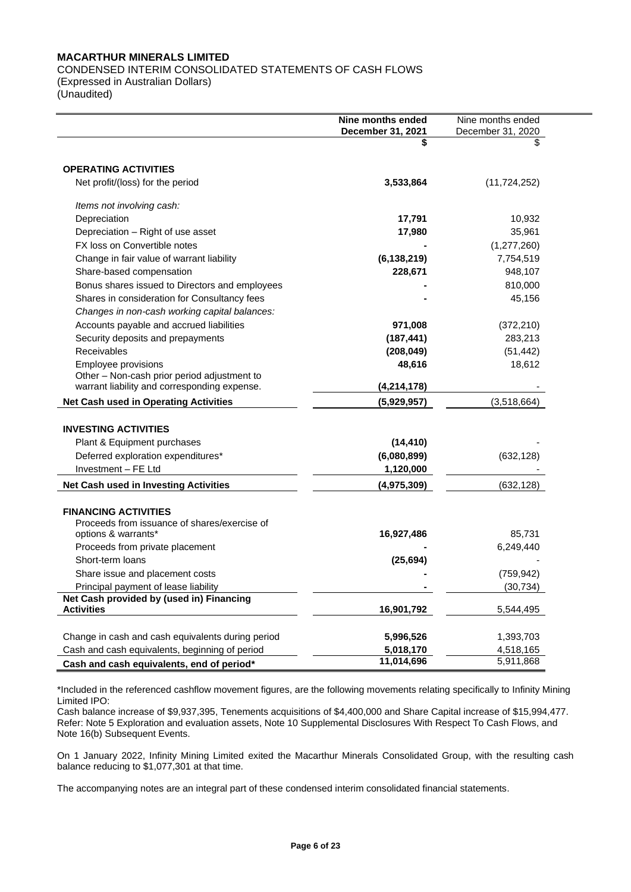CONDENSED INTERIM CONSOLIDATED STATEMENTS OF CASH FLOWS

(Expressed in Australian Dollars) (Unaudited)

|                                                                             | Nine months ended       | Nine months ended |
|-----------------------------------------------------------------------------|-------------------------|-------------------|
|                                                                             | December 31, 2021<br>\$ | December 31, 2020 |
|                                                                             |                         |                   |
| <b>OPERATING ACTIVITIES</b>                                                 |                         |                   |
| Net profit/(loss) for the period                                            | 3,533,864               | (11, 724, 252)    |
|                                                                             |                         |                   |
| Items not involving cash:                                                   |                         |                   |
| Depreciation                                                                | 17,791                  | 10,932            |
| Depreciation - Right of use asset                                           | 17,980                  | 35,961            |
| FX loss on Convertible notes                                                |                         | (1, 277, 260)     |
| Change in fair value of warrant liability                                   | (6, 138, 219)           | 7,754,519         |
| Share-based compensation                                                    | 228,671                 | 948,107           |
| Bonus shares issued to Directors and employees                              |                         | 810,000           |
| Shares in consideration for Consultancy fees                                |                         | 45,156            |
| Changes in non-cash working capital balances:                               |                         |                   |
| Accounts payable and accrued liabilities                                    | 971,008                 | (372, 210)        |
| Security deposits and prepayments                                           | (187, 441)              | 283,213           |
| Receivables                                                                 | (208, 049)              | (51, 442)         |
| Employee provisions                                                         | 48,616                  | 18,612            |
| Other - Non-cash prior period adjustment to                                 |                         |                   |
| warrant liability and corresponding expense.                                | (4, 214, 178)           |                   |
| <b>Net Cash used in Operating Activities</b>                                | (5,929,957)             | (3,518,664)       |
| <b>INVESTING ACTIVITIES</b>                                                 |                         |                   |
|                                                                             |                         |                   |
| Plant & Equipment purchases                                                 | (14, 410)               |                   |
| Deferred exploration expenditures*                                          | (6,080,899)             | (632, 128)        |
| Investment - FE Ltd                                                         | 1,120,000               |                   |
| Net Cash used in Investing Activities                                       | (4,975,309)             | (632, 128)        |
|                                                                             |                         |                   |
| <b>FINANCING ACTIVITIES</b><br>Proceeds from issuance of shares/exercise of |                         |                   |
| options & warrants*                                                         | 16,927,486              | 85,731            |
| Proceeds from private placement                                             |                         | 6,249,440         |
| Short-term loans                                                            | (25, 694)               |                   |
| Share issue and placement costs                                             |                         | (759, 942)        |
| Principal payment of lease liability                                        |                         | (30, 734)         |
| Net Cash provided by (used in) Financing                                    |                         |                   |
| <b>Activities</b>                                                           | 16,901,792              | 5,544,495         |
|                                                                             |                         |                   |
| Change in cash and cash equivalents during period                           | 5,996,526               | 1,393,703         |
| Cash and cash equivalents, beginning of period                              | 5,018,170               | 4,518,165         |
| Cash and cash equivalents, end of period*                                   | 11,014,696              | 5,911,868         |

\*Included in the referenced cashflow movement figures, are the following movements relating specifically to Infinity Mining Limited IPO:

Cash balance increase of \$9,937,395, Tenements acquisitions of \$4,400,000 and Share Capital increase of \$15,994,477. Refer: Note 5 Exploration and evaluation assets, Note 10 Supplemental Disclosures With Respect To Cash Flows, and Note 16(b) Subsequent Events.

On 1 January 2022, Infinity Mining Limited exited the Macarthur Minerals Consolidated Group, with the resulting cash balance reducing to \$1,077,301 at that time.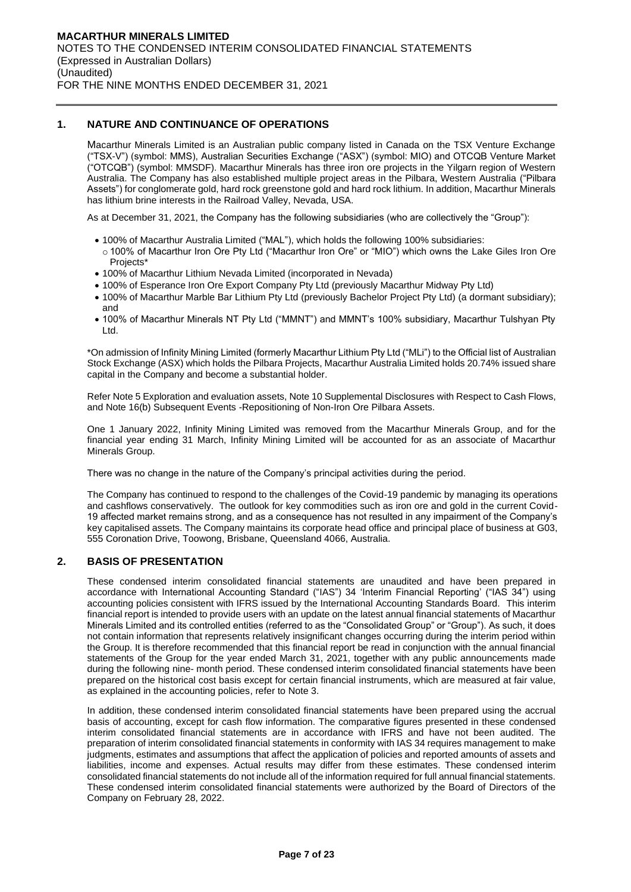### **1. NATURE AND CONTINUANCE OF OPERATIONS**

Macarthur Minerals Limited is an Australian public company listed in Canada on the TSX Venture Exchange ("TSX-V") (symbol: MMS), Australian Securities Exchange ("ASX") (symbol: MIO) and OTCQB Venture Market ("OTCQB") (symbol: MMSDF). Macarthur Minerals has three iron ore projects in the Yilgarn region of Western Australia. The Company has also established multiple project areas in the Pilbara, Western Australia ("Pilbara Assets") for conglomerate gold, hard rock greenstone gold and hard rock lithium. In addition, Macarthur Minerals has lithium brine interests in the Railroad Valley, Nevada, USA.

As at December 31, 2021, the Company has the following subsidiaries (who are collectively the "Group"):

- 100% of Macarthur Australia Limited ("MAL"), which holds the following 100% subsidiaries:
- o 100% of Macarthur Iron Ore Pty Ltd ("Macarthur Iron Ore" or "MIO") which owns the Lake Giles Iron Ore Projects\*
- 100% of Macarthur Lithium Nevada Limited (incorporated in Nevada)
- 100% of Esperance Iron Ore Export Company Pty Ltd (previously Macarthur Midway Pty Ltd)
- 100% of Macarthur Marble Bar Lithium Pty Ltd (previously Bachelor Project Pty Ltd) (a dormant subsidiary); and
- 100% of Macarthur Minerals NT Pty Ltd ("MMNT") and MMNT's 100% subsidiary, Macarthur Tulshyan Pty Ltd.

\*On admission of Infinity Mining Limited (formerly Macarthur Lithium Pty Ltd ("MLi") to the Official list of Australian Stock Exchange (ASX) which holds the Pilbara Projects, Macarthur Australia Limited holds 20.74% issued share capital in the Company and become a substantial holder.

Refer Note 5 Exploration and evaluation assets, Note 10 Supplemental Disclosures with Respect to Cash Flows, and Note 16(b) Subsequent Events -Repositioning of Non-Iron Ore Pilbara Assets.

One 1 January 2022, Infinity Mining Limited was removed from the Macarthur Minerals Group, and for the financial year ending 31 March, Infinity Mining Limited will be accounted for as an associate of Macarthur Minerals Group.

There was no change in the nature of the Company's principal activities during the period.

The Company has continued to respond to the challenges of the Covid-19 pandemic by managing its operations and cashflows conservatively. The outlook for key commodities such as iron ore and gold in the current Covid-19 affected market remains strong, and as a consequence has not resulted in any impairment of the Company's key capitalised assets. The Company maintains its corporate head office and principal place of business at G03, 555 Coronation Drive, Toowong, Brisbane, Queensland 4066, Australia.

### **2. BASIS OF PRESENTATION**

These condensed interim consolidated financial statements are unaudited and have been prepared in accordance with International Accounting Standard ("IAS") 34 'Interim Financial Reporting' ("IAS 34") using accounting policies consistent with IFRS issued by the International Accounting Standards Board. This interim financial report is intended to provide users with an update on the latest annual financial statements of Macarthur Minerals Limited and its controlled entities (referred to as the "Consolidated Group" or "Group"). As such, it does not contain information that represents relatively insignificant changes occurring during the interim period within the Group. It is therefore recommended that this financial report be read in conjunction with the annual financial statements of the Group for the year ended March 31, 2021, together with any public announcements made during the following nine- month period. These condensed interim consolidated financial statements have been prepared on the historical cost basis except for certain financial instruments, which are measured at fair value, as explained in the accounting policies, refer to Note 3.

In addition, these condensed interim consolidated financial statements have been prepared using the accrual basis of accounting, except for cash flow information. The comparative figures presented in these condensed interim consolidated financial statements are in accordance with IFRS and have not been audited. The preparation of interim consolidated financial statements in conformity with IAS 34 requires management to make judgments, estimates and assumptions that affect the application of policies and reported amounts of assets and liabilities, income and expenses. Actual results may differ from these estimates. These condensed interim consolidated financial statements do not include all of the information required for full annual financial statements. These condensed interim consolidated financial statements were authorized by the Board of Directors of the Company on February 28, 2022.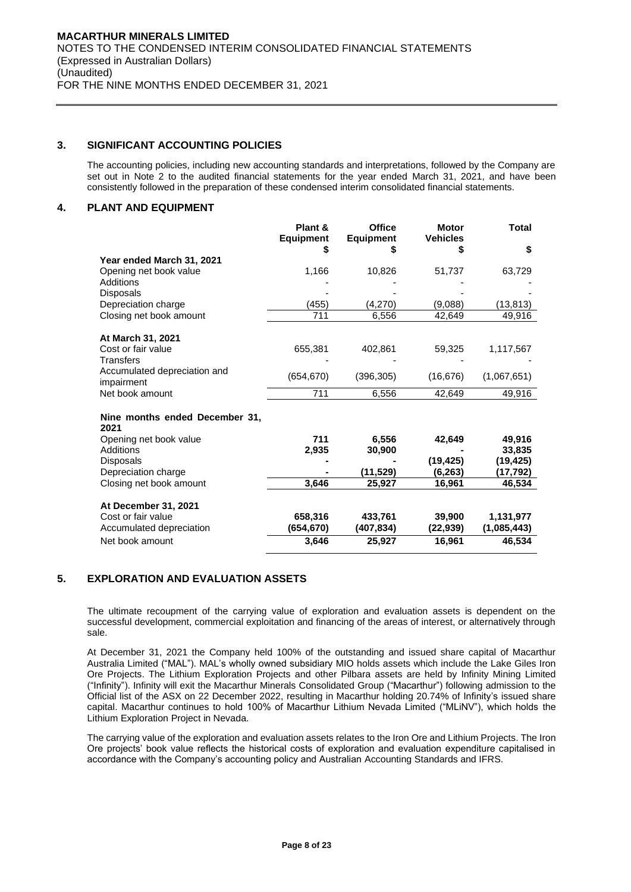# **3. SIGNIFICANT ACCOUNTING POLICIES**

The accounting policies, including new accounting standards and interpretations, followed by the Company are set out in Note 2 to the audited financial statements for the year ended March 31, 2021, and have been consistently followed in the preparation of these condensed interim consolidated financial statements.

# **4. PLANT AND EQUIPMENT**

|                                         | Plant &<br><b>Equipment</b> | <b>Office</b><br><b>Equipment</b> | <b>Motor</b><br><b>Vehicles</b> | Total       |
|-----------------------------------------|-----------------------------|-----------------------------------|---------------------------------|-------------|
|                                         |                             | S                                 |                                 | \$          |
| Year ended March 31, 2021               |                             |                                   |                                 |             |
| Opening net book value                  | 1,166                       | 10,826                            | 51,737                          | 63,729      |
| Additions                               |                             |                                   |                                 |             |
| <b>Disposals</b>                        |                             |                                   |                                 |             |
| Depreciation charge                     | (455)                       | (4,270)                           | (9,088)                         | (13, 813)   |
| Closing net book amount                 | 711                         | 6,556                             | 42,649                          | 49,916      |
|                                         |                             |                                   |                                 |             |
| At March 31, 2021<br>Cost or fair value | 655,381                     | 402,861                           | 59,325                          | 1,117,567   |
| Transfers                               |                             |                                   |                                 |             |
| Accumulated depreciation and            |                             |                                   |                                 |             |
| impairment                              | (654, 670)                  | (396, 305)                        | (16, 676)                       | (1,067,651) |
| Net book amount                         | 711                         | 6,556                             | 42,649                          | 49,916      |
|                                         |                             |                                   |                                 |             |
| Nine months ended December 31,<br>2021  |                             |                                   |                                 |             |
| Opening net book value                  | 711                         | 6,556                             | 42,649                          | 49,916      |
| Additions                               | 2,935                       | 30,900                            |                                 | 33,835      |
| Disposals                               |                             |                                   | (19, 425)                       | (19, 425)   |
| Depreciation charge                     |                             | (11,529)                          | (6,263)                         | (17,792)    |
| Closing net book amount                 | 3,646                       | 25,927                            | 16,961                          | 46,534      |
|                                         |                             |                                   |                                 |             |
| At December 31, 2021                    |                             |                                   |                                 |             |
| Cost or fair value                      | 658,316                     | 433,761                           | 39,900                          | 1,131,977   |
| Accumulated depreciation                | (654,670)                   | (407, 834)                        | (22, 939)                       | (1,085,443) |
| Net book amount                         | 3,646                       | 25,927                            | 16,961                          | 46,534      |

# **5. EXPLORATION AND EVALUATION ASSETS**

The ultimate recoupment of the carrying value of exploration and evaluation assets is dependent on the successful development, commercial exploitation and financing of the areas of interest, or alternatively through sale.

At December 31, 2021 the Company held 100% of the outstanding and issued share capital of Macarthur Australia Limited ("MAL"). MAL's wholly owned subsidiary MIO holds assets which include the Lake Giles Iron Ore Projects. The Lithium Exploration Projects and other Pilbara assets are held by Infinity Mining Limited ("Infinity"). Infinity will exit the Macarthur Minerals Consolidated Group ("Macarthur") following admission to the Official list of the ASX on 22 December 2022, resulting in Macarthur holding 20.74% of Infinity's issued share capital. Macarthur continues to hold 100% of Macarthur Lithium Nevada Limited ("MLiNV"), which holds the Lithium Exploration Project in Nevada.

The carrying value of the exploration and evaluation assets relates to the Iron Ore and Lithium Projects. The Iron Ore projects' book value reflects the historical costs of exploration and evaluation expenditure capitalised in accordance with the Company's accounting policy and Australian Accounting Standards and IFRS.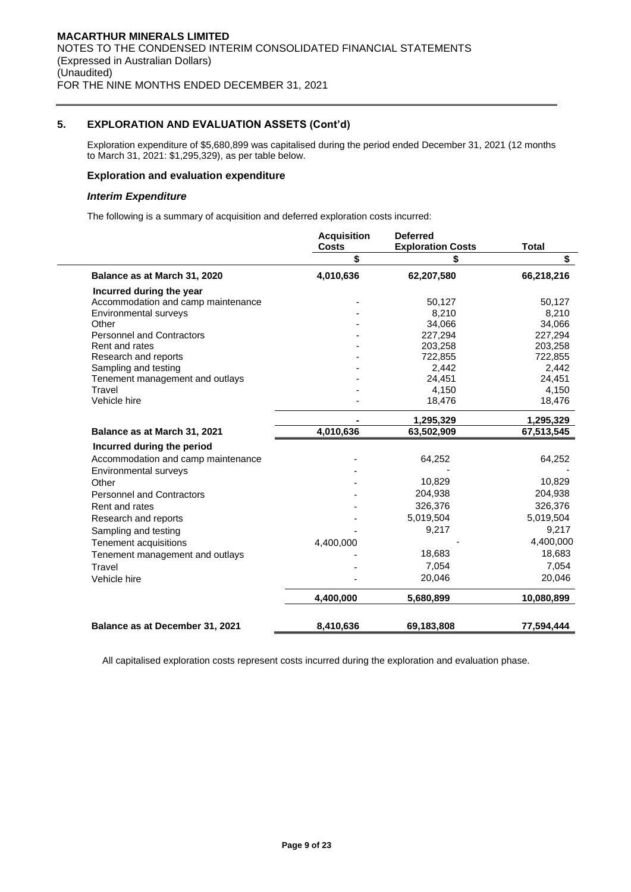# **5. EXPLORATION AND EVALUATION ASSETS (Cont'd)**

Exploration expenditure of \$5,680,899 was capitalised during the period ended December 31, 2021 (12 months to March 31, 2021: \$1,295,329), as per table below.

### **Exploration and evaluation expenditure**

### *Interim Expenditure*

The following is a summary of acquisition and deferred exploration costs incurred:

|                                    | <b>Acquisition</b><br><b>Costs</b> | <b>Deferred</b><br><b>Exploration Costs</b> | <b>Total</b> |
|------------------------------------|------------------------------------|---------------------------------------------|--------------|
|                                    | \$                                 |                                             | \$           |
| Balance as at March 31, 2020       | 4,010,636                          | 62,207,580                                  | 66,218,216   |
| Incurred during the year           |                                    |                                             |              |
| Accommodation and camp maintenance |                                    | 50,127                                      | 50,127       |
| Environmental surveys              |                                    | 8,210                                       | 8,210        |
| Other                              |                                    | 34,066                                      | 34,066       |
| <b>Personnel and Contractors</b>   |                                    | 227,294                                     | 227,294      |
| Rent and rates                     |                                    | 203,258                                     | 203,258      |
| Research and reports               |                                    | 722,855                                     | 722,855      |
| Sampling and testing               |                                    | 2,442                                       | 2,442        |
| Tenement management and outlays    |                                    | 24,451                                      | 24,451       |
| Travel<br>Vehicle hire             |                                    | 4,150                                       | 4,150        |
|                                    |                                    | 18,476                                      | 18,476       |
|                                    |                                    | 1,295,329                                   | 1,295,329    |
| Balance as at March 31, 2021       | 4,010,636                          | 63,502,909                                  | 67,513,545   |
| Incurred during the period         |                                    |                                             |              |
| Accommodation and camp maintenance |                                    | 64,252                                      | 64,252       |
| Environmental surveys              |                                    |                                             |              |
| Other                              |                                    | 10,829                                      | 10,829       |
| <b>Personnel and Contractors</b>   |                                    | 204,938                                     | 204,938      |
| Rent and rates                     |                                    | 326,376                                     | 326,376      |
| Research and reports               |                                    | 5,019,504                                   | 5,019,504    |
| Sampling and testing               |                                    | 9,217                                       | 9,217        |
| Tenement acquisitions              | 4,400,000                          |                                             | 4,400,000    |
| Tenement management and outlays    |                                    | 18,683                                      | 18,683       |
| Travel                             |                                    | 7,054                                       | 7,054        |
| Vehicle hire                       |                                    | 20,046                                      | 20,046       |
|                                    |                                    |                                             |              |
|                                    | 4,400,000                          | 5,680,899                                   | 10,080,899   |
| Balance as at December 31, 2021    | 8,410,636                          | 69,183,808                                  | 77,594,444   |

All capitalised exploration costs represent costs incurred during the exploration and evaluation phase.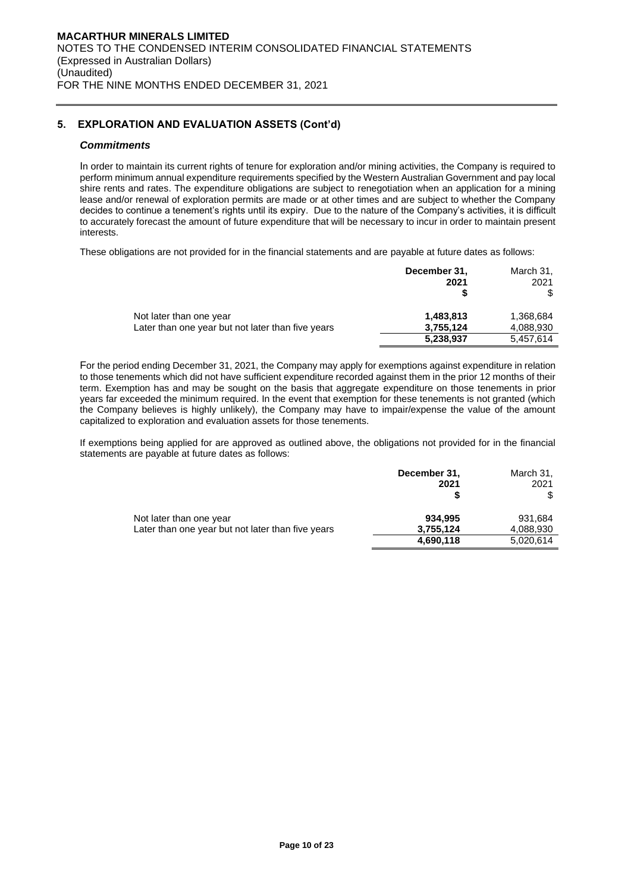# **5. EXPLORATION AND EVALUATION ASSETS (Cont'd)**

### *Commitments*

In order to maintain its current rights of tenure for exploration and/or mining activities, the Company is required to perform minimum annual expenditure requirements specified by the Western Australian Government and pay local shire rents and rates. The expenditure obligations are subject to renegotiation when an application for a mining lease and/or renewal of exploration permits are made or at other times and are subject to whether the Company decides to continue a tenement's rights until its expiry. Due to the nature of the Company's activities, it is difficult to accurately forecast the amount of future expenditure that will be necessary to incur in order to maintain present interests.

These obligations are not provided for in the financial statements and are payable at future dates as follows:

|                                                                              | December 31,<br>2021                | March 31,<br>2021                   |
|------------------------------------------------------------------------------|-------------------------------------|-------------------------------------|
| Not later than one year<br>Later than one year but not later than five years | 1,483,813<br>3,755,124<br>5,238,937 | 1,368,684<br>4,088,930<br>5.457.614 |

For the period ending December 31, 2021, the Company may apply for exemptions against expenditure in relation to those tenements which did not have sufficient expenditure recorded against them in the prior 12 months of their term. Exemption has and may be sought on the basis that aggregate expenditure on those tenements in prior years far exceeded the minimum required. In the event that exemption for these tenements is not granted (which the Company believes is highly unlikely), the Company may have to impair/expense the value of the amount capitalized to exploration and evaluation assets for those tenements.

If exemptions being applied for are approved as outlined above, the obligations not provided for in the financial statements are payable at future dates as follows:

|                                                   | December 31, | March 31, |
|---------------------------------------------------|--------------|-----------|
|                                                   | 2021         | 2021      |
|                                                   |              |           |
| Not later than one year                           | 934.995      | 931.684   |
| Later than one year but not later than five years | 3,755,124    | 4,088,930 |
|                                                   | 4,690,118    | 5,020,614 |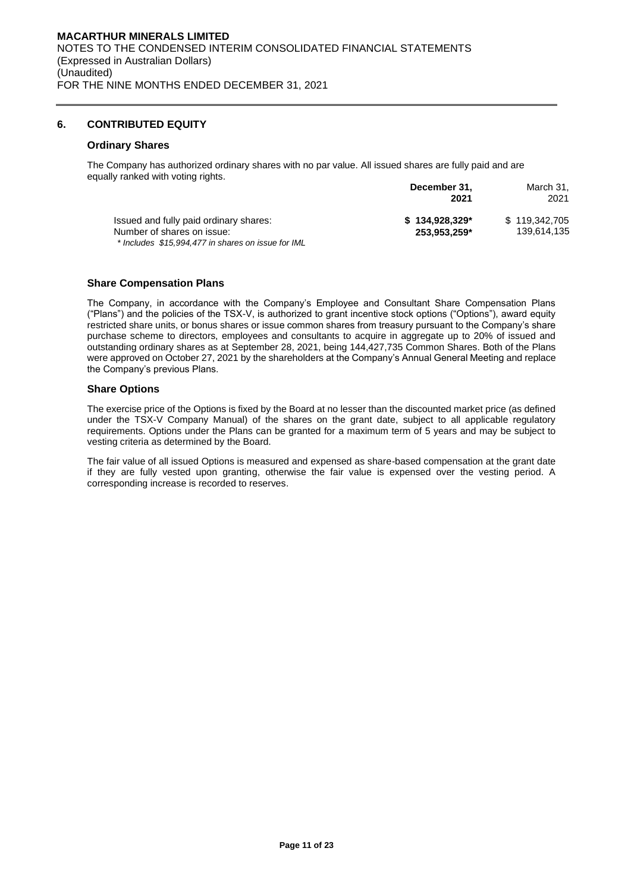### **6. CONTRIBUTED EQUITY**

### **Ordinary Shares**

The Company has authorized ordinary shares with no par value. All issued shares are fully paid and are equally ranked with voting rights. **December 31,**

|                                                                                  | December 31,<br>2021 | March 31.<br>2021 |
|----------------------------------------------------------------------------------|----------------------|-------------------|
| Issued and fully paid ordinary shares:                                           | $$134.928.329*$      | \$119,342,705     |
| Number of shares on issue:<br>* Includes \$15,994,477 in shares on issue for IML | 253.953.259*         | 139,614,135       |

### **Share Compensation Plans**

The Company, in accordance with the Company's Employee and Consultant Share Compensation Plans ("Plans") and the policies of the TSX-V, is authorized to grant incentive stock options ("Options"), award equity restricted share units, or bonus shares or issue common shares from treasury pursuant to the Company's share purchase scheme to directors, employees and consultants to acquire in aggregate up to 20% of issued and outstanding ordinary shares as at September 28, 2021, being 144,427,735 Common Shares. Both of the Plans were approved on October 27, 2021 by the shareholders at the Company's Annual General Meeting and replace the Company's previous Plans.

### **Share Options**

The exercise price of the Options is fixed by the Board at no lesser than the discounted market price (as defined under the TSX-V Company Manual) of the shares on the grant date, subject to all applicable regulatory requirements. Options under the Plans can be granted for a maximum term of 5 years and may be subject to vesting criteria as determined by the Board.

The fair value of all issued Options is measured and expensed as share-based compensation at the grant date if they are fully vested upon granting, otherwise the fair value is expensed over the vesting period. A corresponding increase is recorded to reserves.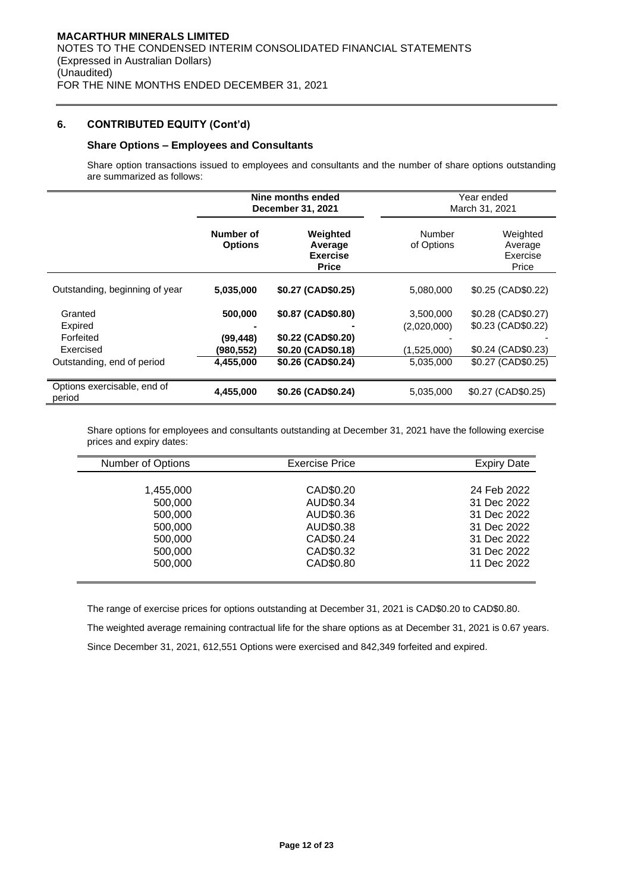# **6. CONTRIBUTED EQUITY (Cont'd)**

# **Share Options – Employees and Consultants**

Share option transactions issued to employees and consultants and the number of share options outstanding are summarized as follows:

|                                                                            | Nine months ended<br>December 31, 2021          |                                                                                      |                                                      | Year ended<br>March 31, 2021                                                             |
|----------------------------------------------------------------------------|-------------------------------------------------|--------------------------------------------------------------------------------------|------------------------------------------------------|------------------------------------------------------------------------------------------|
|                                                                            | Number of<br><b>Options</b>                     | Weighted<br>Average<br><b>Exercise</b><br><b>Price</b>                               | Number<br>of Options                                 | Weighted<br>Average<br>Exercise<br>Price                                                 |
| Outstanding, beginning of year                                             | 5,035,000                                       | \$0.27 (CAD\$0.25)                                                                   | 5,080,000                                            | \$0.25 (CAD\$0.22)                                                                       |
| Granted<br>Expired<br>Forfeited<br>Exercised<br>Outstanding, end of period | 500,000<br>(99, 448)<br>(980, 552)<br>4,455,000 | \$0.87 (CAD\$0.80)<br>\$0.22 (CAD\$0.20)<br>\$0.20 (CAD\$0.18)<br>\$0.26 (CAD\$0.24) | 3,500,000<br>(2,020,000)<br>(1,525,000)<br>5,035,000 | \$0.28 (CAD\$0.27)<br>\$0.23 (CAD\$0.22)<br>$$0.24$ (CAD $$0.23$ )<br>\$0.27 (CAD\$0.25) |
| Options exercisable, end of<br>period                                      | 4,455,000                                       | \$0.26 (CAD\$0.24)                                                                   | 5,035,000                                            | \$0.27 (CAD\$0.25)                                                                       |

Share options for employees and consultants outstanding at December 31, 2021 have the following exercise prices and expiry dates:

| Number of Options | <b>Exercise Price</b> | <b>Expiry Date</b> |
|-------------------|-----------------------|--------------------|
|                   |                       |                    |
| 1,455,000         | CAD\$0.20             | 24 Feb 2022        |
| 500,000           | AUD\$0.34             | 31 Dec 2022        |
| 500,000           | AUD\$0.36             | 31 Dec 2022        |
| 500,000           | AUD\$0.38             | 31 Dec 2022        |
| 500,000           | CAD\$0.24             | 31 Dec 2022        |
| 500,000           | CAD\$0.32             | 31 Dec 2022        |
| 500,000           | CAD\$0.80             | 11 Dec 2022        |
|                   |                       |                    |

The range of exercise prices for options outstanding at December 31, 2021 is CAD\$0.20 to CAD\$0.80. The weighted average remaining contractual life for the share options as at December 31, 2021 is 0.67 years. Since December 31, 2021, 612,551 Options were exercised and 842,349 forfeited and expired.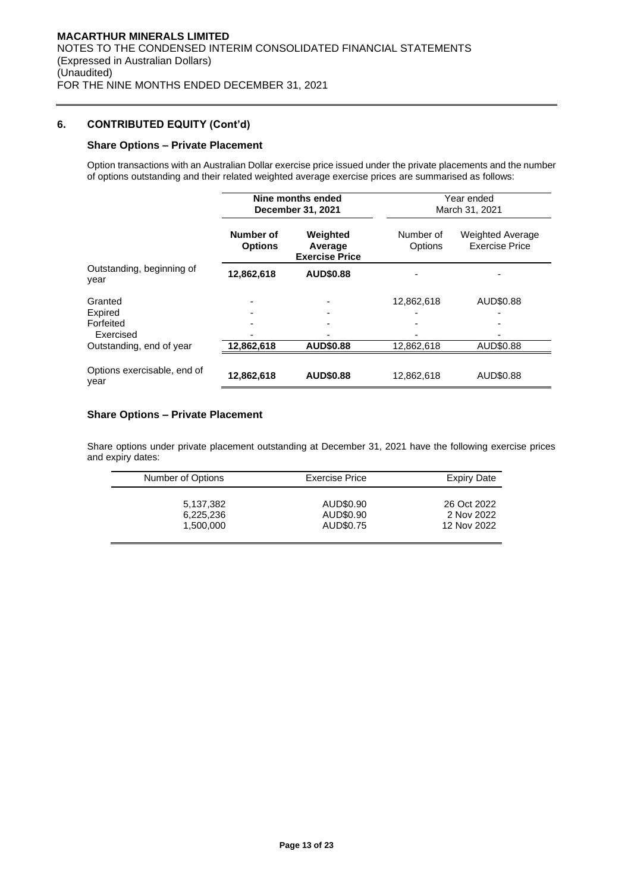# **6. CONTRIBUTED EQUITY (Cont'd)**

### **Share Options – Private Placement**

Option transactions with an Australian Dollar exercise price issued under the private placements and the number of options outstanding and their related weighted average exercise prices are summarised as follows:

|                                              | Nine months ended<br>December 31, 2021 |                                              | Year ended<br>March 31, 2021 |                                                  |  |
|----------------------------------------------|----------------------------------------|----------------------------------------------|------------------------------|--------------------------------------------------|--|
|                                              | Number of<br><b>Options</b>            | Weighted<br>Average<br><b>Exercise Price</b> | Number of<br>Options         | <b>Weighted Average</b><br><b>Exercise Price</b> |  |
| Outstanding, beginning of<br>year            | 12,862,618                             | <b>AUD\$0.88</b>                             |                              |                                                  |  |
| Granted<br>Expired<br>Forfeited<br>Exercised |                                        | -                                            | 12,862,618                   | AUD\$0.88                                        |  |
| Outstanding, end of year                     | 12,862,618                             | AUD\$0.88                                    | 12,862,618                   | AUD\$0.88                                        |  |
| Options exercisable, end of<br>year          | 12,862,618                             | <b>AUD\$0.88</b>                             | 12,862,618                   | AUD\$0.88                                        |  |

# **Share Options – Private Placement**

Share options under private placement outstanding at December 31, 2021 have the following exercise prices and expiry dates:

| Number of Options | <b>Exercise Price</b> | <b>Expiry Date</b> |
|-------------------|-----------------------|--------------------|
| 5,137,382         | AUD\$0.90             | 26 Oct 2022        |
| 6,225,236         | AUD\$0.90             | 2 Nov 2022         |
| 1.500.000         | AUD\$0.75             | 12 Nov 2022        |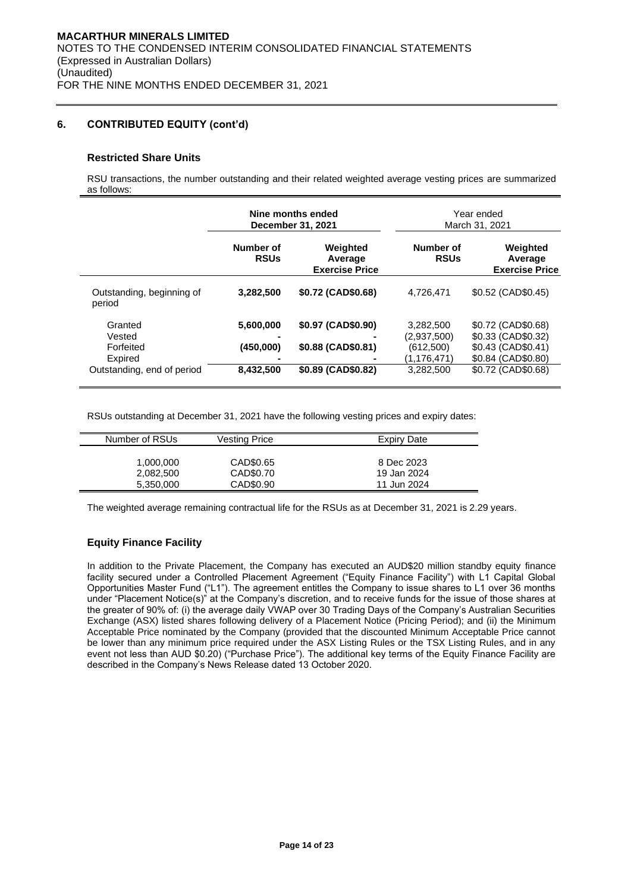# **6. CONTRIBUTED EQUITY (cont'd)**

### **Restricted Share Units**

RSU transactions, the number outstanding and their related weighted average vesting prices are summarized as follows:

|                                           | Nine months ended<br>December 31, 2021 |                                              |                                                      | Year ended<br>March 31, 2021                                                         |
|-------------------------------------------|----------------------------------------|----------------------------------------------|------------------------------------------------------|--------------------------------------------------------------------------------------|
|                                           | Number of<br><b>RSUs</b>               | Weighted<br>Average<br><b>Exercise Price</b> | Number of<br><b>RSUs</b>                             | Weighted<br>Average<br><b>Exercise Price</b>                                         |
| Outstanding, beginning of<br>period       | 3,282,500                              | \$0.72 (CAD\$0.68)                           | 4.726.471                                            | \$0.52 (CAD\$0.45)                                                                   |
| Granted<br>Vested<br>Forfeited<br>Expired | 5,600,000<br>(450,000)                 | \$0.97 (CAD\$0.90)<br>\$0.88 (CAD\$0.81)     | 3,282,500<br>(2,937,500)<br>(612,500)<br>(1,176,471) | \$0.72 (CAD\$0.68)<br>\$0.33 (CAD\$0.32)<br>\$0.43 (CAD\$0.41)<br>\$0.84 (CAD\$0.80) |
| Outstanding, end of period                | 8,432,500                              | \$0.89 (CAD\$0.82)                           | 3,282,500                                            | \$0.72 (CAD\$0.68)                                                                   |

RSUs outstanding at December 31, 2021 have the following vesting prices and expiry dates:

| Number of RSUs         | <b>Vesting Price</b> | <b>Expiry Date</b>        |
|------------------------|----------------------|---------------------------|
|                        | CAD\$0.65            |                           |
| 1,000,000<br>2,082,500 | CAD\$0.70            | 8 Dec 2023<br>19 Jan 2024 |
| 5,350,000              | CAD\$0.90            | 11 Jun 2024               |

The weighted average remaining contractual life for the RSUs as at December 31, 2021 is 2.29 years.

# **Equity Finance Facility**

In addition to the Private Placement, the Company has executed an AUD\$20 million standby equity finance facility secured under a Controlled Placement Agreement ("Equity Finance Facility") with L1 Capital Global Opportunities Master Fund ("L1"). The agreement entitles the Company to issue shares to L1 over 36 months under "Placement Notice(s)" at the Company's discretion, and to receive funds for the issue of those shares at the greater of 90% of: (i) the average daily VWAP over 30 Trading Days of the Company's Australian Securities Exchange (ASX) listed shares following delivery of a Placement Notice (Pricing Period); and (ii) the Minimum Acceptable Price nominated by the Company (provided that the discounted Minimum Acceptable Price cannot be lower than any minimum price required under the ASX Listing Rules or the TSX Listing Rules, and in any event not less than AUD \$0.20) ("Purchase Price"). The additional key terms of the Equity Finance Facility are described in the Company's News Release dated 13 October 2020.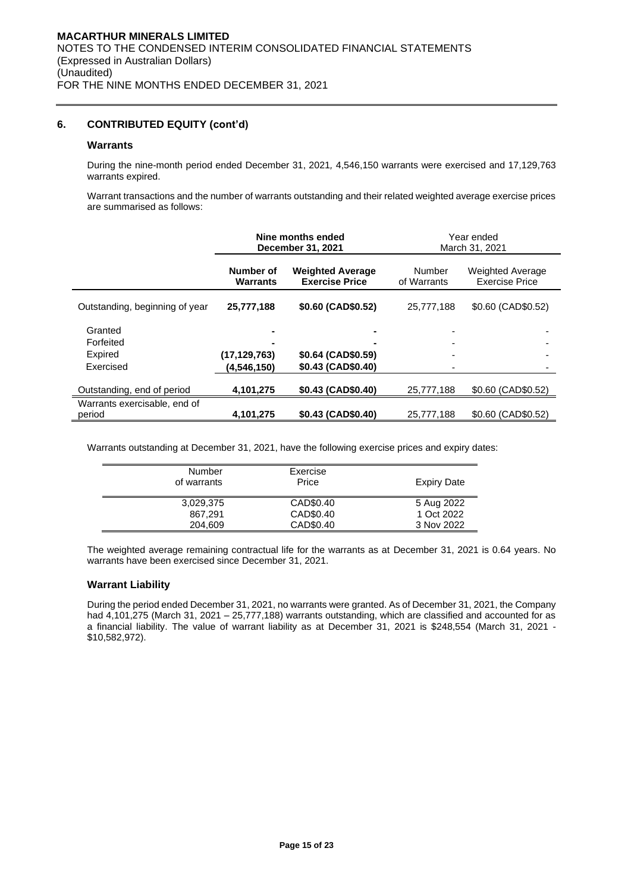### **6. CONTRIBUTED EQUITY (cont'd)**

### **Warrants**

During the nine-month period ended December 31, 2021*,* 4,546,150 warrants were exercised and 17,129,763 warrants expired.

Warrant transactions and the number of warrants outstanding and their related weighted average exercise prices are summarised as follows:

|                                        | Nine months ended<br>December 31, 2021 |                                                  |                       | Year ended<br>March 31, 2021                     |
|----------------------------------------|----------------------------------------|--------------------------------------------------|-----------------------|--------------------------------------------------|
|                                        | Number of<br><b>Warrants</b>           | <b>Weighted Average</b><br><b>Exercise Price</b> | Number<br>of Warrants | <b>Weighted Average</b><br><b>Exercise Price</b> |
| Outstanding, beginning of year         | 25,777,188                             | \$0.60 (CAD\$0.52)                               | 25,777,188            | \$0.60 (CAD\$0.52)                               |
| Granted<br>Forfeited                   |                                        |                                                  | ٠                     |                                                  |
| <b>Expired</b><br>Exercised            | (17, 129, 763)<br>(4,546,150)          | \$0.64 (CAD\$0.59)<br>\$0.43 (CAD\$0.40)         | ٠                     |                                                  |
| Outstanding, end of period             | 4,101,275                              | \$0.43 (CAD\$0.40)                               | 25,777,188            | \$0.60 (CAD\$0.52)                               |
| Warrants exercisable, end of<br>period | 4,101,275                              | \$0.43 (CAD\$0.40)                               | 25.777.188            | \$0.60 (CAD\$0.52)                               |

Warrants outstanding at December 31, 2021, have the following exercise prices and expiry dates:

| Number<br>of warrants | Exercise<br>Price | <b>Expiry Date</b> |
|-----------------------|-------------------|--------------------|
| 3,029,375             | CAD\$0.40         | 5 Aug 2022         |
| 867.291               | CAD\$0.40         | 1 Oct 2022         |
| 204.609               | CAD\$0.40         | 3 Nov 2022         |

The weighted average remaining contractual life for the warrants as at December 31, 2021 is 0.64 years. No warrants have been exercised since December 31, 2021.

### **Warrant Liability**

During the period ended December 31, 2021, no warrants were granted. As of December 31, 2021, the Company had 4,101,275 (March 31, 2021 – 25,777,188) warrants outstanding, which are classified and accounted for as a financial liability. The value of warrant liability as at December 31, 2021 is \$248,554 (March 31, 2021 - \$10,582,972).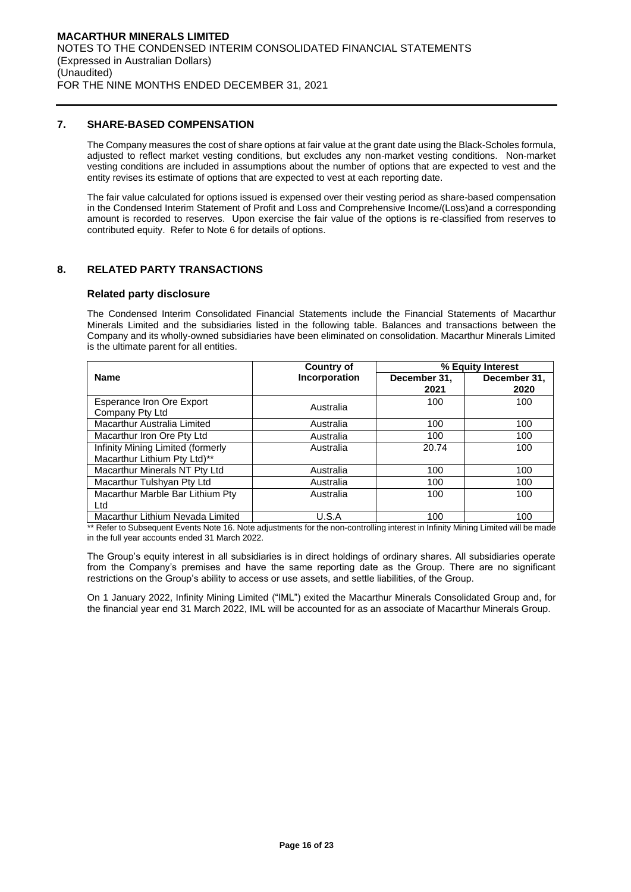### **7. SHARE-BASED COMPENSATION**

The Company measures the cost of share options at fair value at the grant date using the Black-Scholes formula, adjusted to reflect market vesting conditions, but excludes any non-market vesting conditions. Non-market vesting conditions are included in assumptions about the number of options that are expected to vest and the entity revises its estimate of options that are expected to vest at each reporting date.

The fair value calculated for options issued is expensed over their vesting period as share-based compensation in the Condensed Interim Statement of Profit and Loss and Comprehensive Income/(Loss)and a corresponding amount is recorded to reserves. Upon exercise the fair value of the options is re-classified from reserves to contributed equity. Refer to Note 6 for details of options.

### **8. RELATED PARTY TRANSACTIONS**

### **Related party disclosure**

The Condensed Interim Consolidated Financial Statements include the Financial Statements of Macarthur Minerals Limited and the subsidiaries listed in the following table. Balances and transactions between the Company and its wholly-owned subsidiaries have been eliminated on consolidation. Macarthur Minerals Limited is the ultimate parent for all entities.

|                                   | <b>Country of</b> |              | % Equity Interest |  |  |
|-----------------------------------|-------------------|--------------|-------------------|--|--|
| <b>Name</b>                       | Incorporation     | December 31, | December 31,      |  |  |
|                                   |                   | 2021         | 2020              |  |  |
| <b>Esperance Iron Ore Export</b>  | Australia         | 100          | 100               |  |  |
| Company Pty Ltd                   |                   |              |                   |  |  |
| Macarthur Australia Limited       | Australia         | 100          | 100               |  |  |
| Macarthur Iron Ore Pty Ltd        | Australia         | 100          | 100               |  |  |
| Infinity Mining Limited (formerly | Australia         | 20.74        | 100               |  |  |
| Macarthur Lithium Pty Ltd)**      |                   |              |                   |  |  |
| Macarthur Minerals NT Pty Ltd     | Australia         | 100          | 100               |  |  |
| Macarthur Tulshyan Pty Ltd        | Australia         | 100          | 100               |  |  |
| Macarthur Marble Bar Lithium Pty  | Australia         | 100          | 100               |  |  |
| Ltd                               |                   |              |                   |  |  |
| Macarthur Lithium Nevada Limited  | U.S.A             | 100          | 100               |  |  |

\*\* Refer to Subsequent Events Note 16. Note adjustments for the non-controlling interest in Infinity Mining Limited will be made in the full year accounts ended 31 March 2022.

The Group's equity interest in all subsidiaries is in direct holdings of ordinary shares. All subsidiaries operate from the Company's premises and have the same reporting date as the Group. There are no significant restrictions on the Group's ability to access or use assets, and settle liabilities, of the Group.

On 1 January 2022, Infinity Mining Limited ("IML") exited the Macarthur Minerals Consolidated Group and, for the financial year end 31 March 2022, IML will be accounted for as an associate of Macarthur Minerals Group.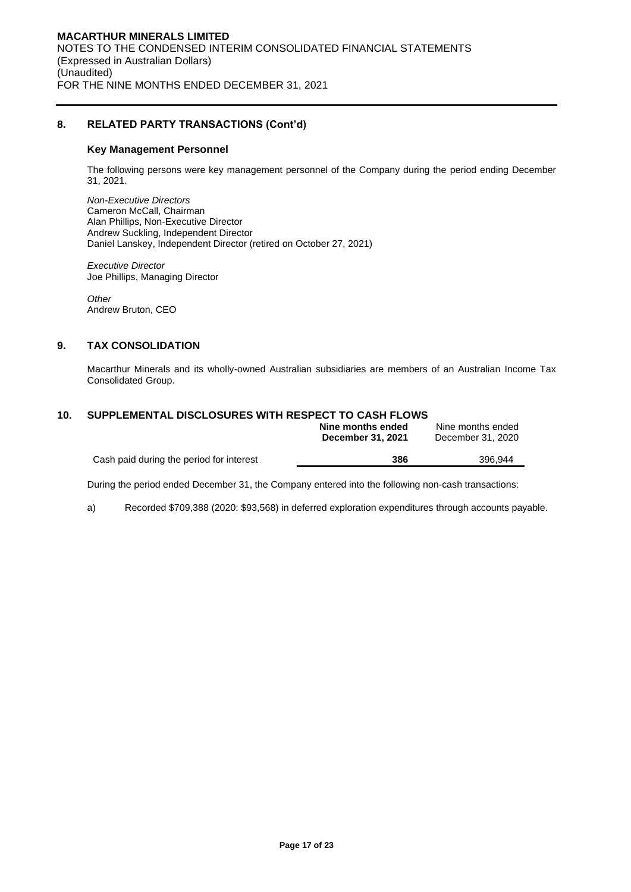# **8. RELATED PARTY TRANSACTIONS (Cont'd)**

#### **Key Management Personnel**

The following persons were key management personnel of the Company during the period ending December 31, 2021.

*Non-Executive Directors*  Cameron McCall, Chairman Alan Phillips, Non-Executive Director Andrew Suckling, Independent Director Daniel Lanskey, Independent Director (retired on October 27, 2021)

*Executive Director*  Joe Phillips, Managing Director

*Other*  Andrew Bruton, CEO

# **9. TAX CONSOLIDATION**

Macarthur Minerals and its wholly-owned Australian subsidiaries are members of an Australian Income Tax Consolidated Group.

# **10. SUPPLEMENTAL DISCLOSURES WITH RESPECT TO CASH FLOWS**

|                                          | Nine months ended<br><b>December 31, 2021</b> | Nine months ended<br>December 31, 2020 |
|------------------------------------------|-----------------------------------------------|----------------------------------------|
| Cash paid during the period for interest | 386                                           | 396.944                                |

During the period ended December 31, the Company entered into the following non-cash transactions:

a) Recorded \$709,388 (2020: \$93,568) in deferred exploration expenditures through accounts payable.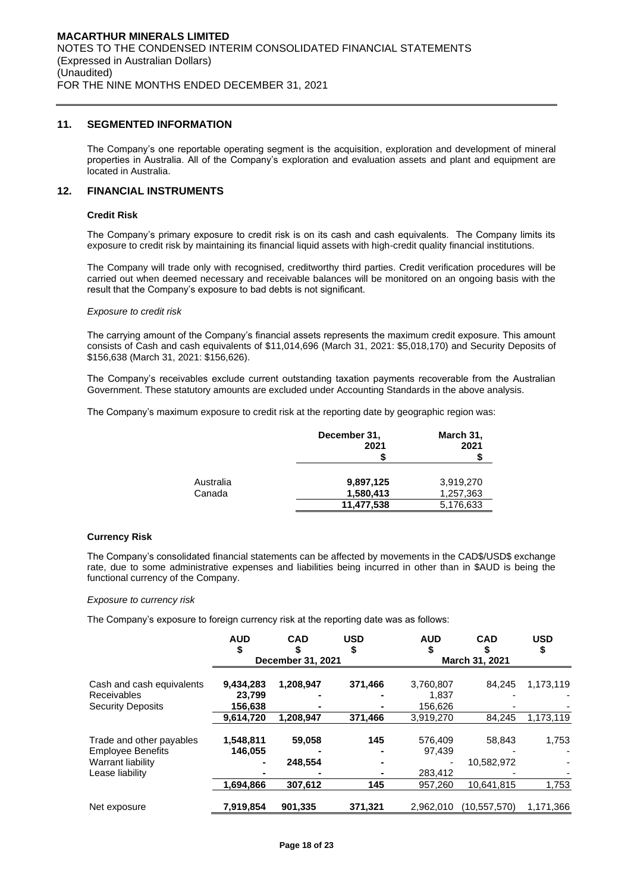#### **11. SEGMENTED INFORMATION**

The Company's one reportable operating segment is the acquisition, exploration and development of mineral properties in Australia. All of the Company's exploration and evaluation assets and plant and equipment are located in Australia.

# **12. FINANCIAL INSTRUMENTS**

#### **Credit Risk**

The Company's primary exposure to credit risk is on its cash and cash equivalents. The Company limits its exposure to credit risk by maintaining its financial liquid assets with high-credit quality financial institutions.

The Company will trade only with recognised, creditworthy third parties. Credit verification procedures will be carried out when deemed necessary and receivable balances will be monitored on an ongoing basis with the result that the Company's exposure to bad debts is not significant.

#### *Exposure to credit risk*

The carrying amount of the Company's financial assets represents the maximum credit exposure. This amount consists of Cash and cash equivalents of \$11,014,696 (March 31, 2021: \$5,018,170) and Security Deposits of \$156,638 (March 31, 2021: \$156,626).

The Company's receivables exclude current outstanding taxation payments recoverable from the Australian Government. These statutory amounts are excluded under Accounting Standards in the above analysis.

The Company's maximum exposure to credit risk at the reporting date by geographic region was:

|           | December 31,<br>2021 | March 31,<br>2021 |
|-----------|----------------------|-------------------|
| Australia | 9,897,125            | 3,919,270         |
| Canada    | 1,580,413            | 1,257,363         |
|           | 11,477,538           | 5,176,633         |

#### **Currency Risk**

The Company's consolidated financial statements can be affected by movements in the CAD\$/USD\$ exchange rate, due to some administrative expenses and liabilities being incurred in other than in \$AUD is being the functional currency of the Company.

#### *Exposure to currency risk*

The Company's exposure to foreign currency risk at the reporting date was as follows:

|                           | <b>AUD</b> | <b>CAD</b><br>December 31, 2021 | <b>USD</b> | <b>AUD</b> | <b>CAD</b><br>March 31, 2021 | <b>USD</b><br>\$ |
|---------------------------|------------|---------------------------------|------------|------------|------------------------------|------------------|
|                           |            |                                 |            |            |                              |                  |
| Cash and cash equivalents | 9,434,283  | 1,208,947                       | 371,466    | 3,760,807  | 84.245                       | 1,173,119        |
| <b>Receivables</b>        | 23,799     |                                 |            | 1.837      |                              |                  |
| <b>Security Deposits</b>  | 156,638    |                                 |            | 156,626    |                              |                  |
|                           | 9,614,720  | 1.208.947                       | 371.466    | 3,919,270  | 84,245                       | 1,173,119        |
| Trade and other payables  | 1,548,811  | 59,058                          | 145        | 576,409    | 58,843                       | 1,753            |
| <b>Employee Benefits</b>  | 146.055    |                                 |            | 97.439     |                              |                  |
| Warrant liability         |            | 248.554                         |            |            | 10.582.972                   |                  |
| Lease liability           |            |                                 |            | 283,412    |                              |                  |
|                           | 1,694,866  | 307,612                         | 145        | 957,260    | 10,641,815                   | 1,753            |
| Net exposure              | 7,919,854  | 901,335                         | 371,321    | 2,962,010  | (10, 557, 570)               | 1,171,366        |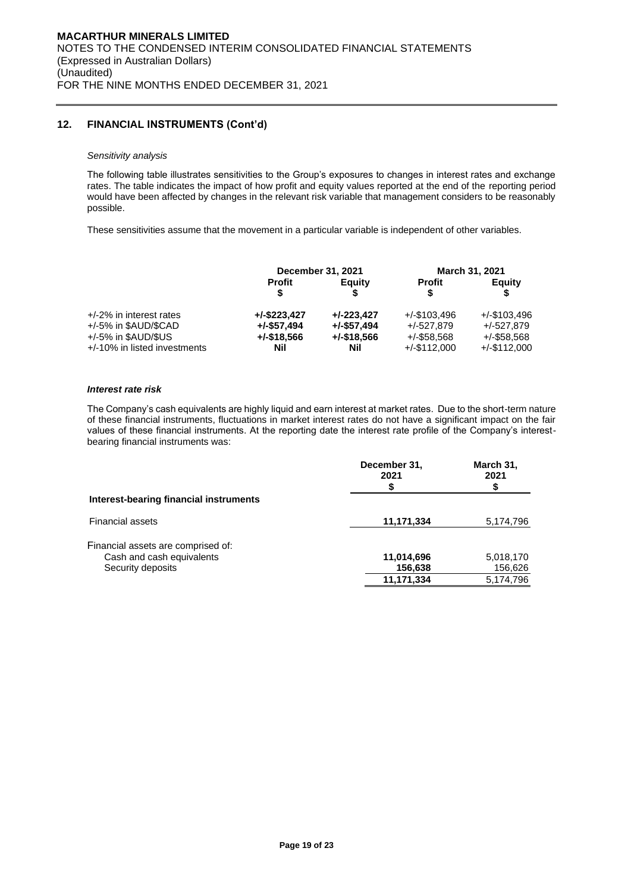# **12. FINANCIAL INSTRUMENTS (Cont'd)**

#### *Sensitivity analysis*

The following table illustrates sensitivities to the Group's exposures to changes in interest rates and exchange rates. The table indicates the impact of how profit and equity values reported at the end of the reporting period would have been affected by changes in the relevant risk variable that management considers to be reasonably possible.

These sensitivities assume that the movement in a particular variable is independent of other variables.

|                                 | December 31, 2021  |                |                 | March 31, 2021  |
|---------------------------------|--------------------|----------------|-----------------|-----------------|
|                                 | <b>Profit</b><br>S | Equity         | <b>Profit</b>   | Equity          |
| $+/-2\%$ in interest rates      | $+/-$ \$223.427    | $+/-223.427$   | $+/-$ \$103.496 | $+/-$ \$103.496 |
| +/-5% in \$AUD/\$CAD            | $+/-$ \$57,494     | $+/-$ \$57,494 | +/-527.879      | $+/-527.879$    |
| $+/-5\%$ in \$AUD/\$US          | $+/-$ \$18,566     | $+/-$ \$18,566 | $+/-$ \$58,568  | $+/-$ \$58.568  |
| $+/-10\%$ in listed investments | Nil                | Nil            | $+/-$ \$112.000 | $+/-$ \$112.000 |

#### *Interest rate risk*

The Company's cash equivalents are highly liquid and earn interest at market rates. Due to the short-term nature of these financial instruments, fluctuations in market interest rates do not have a significant impact on the fair values of these financial instruments. At the reporting date the interest rate profile of the Company's interestbearing financial instruments was:

|                                        | December 31,<br>2021 | March 31,<br>2021 |
|----------------------------------------|----------------------|-------------------|
| Interest-bearing financial instruments |                      |                   |
| <b>Financial assets</b>                | 11,171,334           | 5,174,796         |
| Financial assets are comprised of:     |                      |                   |
| Cash and cash equivalents              | 11,014,696           | 5,018,170         |
| Security deposits                      | 156,638              | 156,626           |
|                                        | 11,171,334           | 5,174,796         |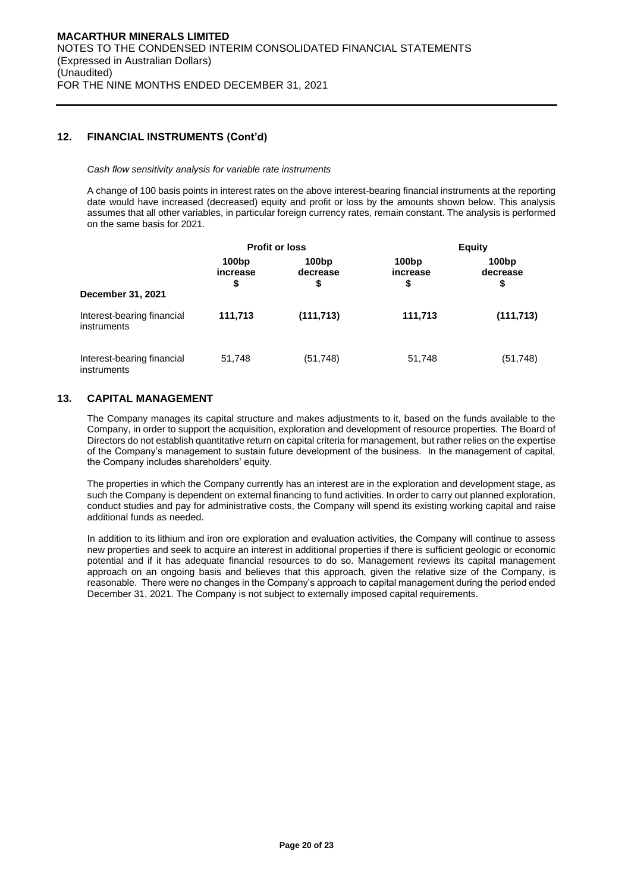### **12. FINANCIAL INSTRUMENTS (Cont'd)**

#### *Cash flow sensitivity analysis for variable rate instruments*

A change of 100 basis points in interest rates on the above interest-bearing financial instruments at the reporting date would have increased (decreased) equity and profit or loss by the amounts shown below. This analysis assumes that all other variables, in particular foreign currency rates, remain constant. The analysis is performed on the same basis for 2021.

|                                           | <b>Profit or loss</b>               |                         | <b>Equity</b>           |                         |
|-------------------------------------------|-------------------------------------|-------------------------|-------------------------|-------------------------|
| December 31, 2021                         | 100 <sub>bp</sub><br>increase<br>\$ | 100bp<br>decrease<br>\$ | 100bp<br>increase<br>\$ | 100bp<br>decrease<br>\$ |
| Interest-bearing financial<br>instruments | 111,713                             | (111, 713)              | 111,713                 | (111, 713)              |
| Interest-bearing financial<br>instruments | 51,748                              | (51, 748)               | 51,748                  | (51, 748)               |

### **13. CAPITAL MANAGEMENT**

The Company manages its capital structure and makes adjustments to it, based on the funds available to the Company, in order to support the acquisition, exploration and development of resource properties. The Board of Directors do not establish quantitative return on capital criteria for management, but rather relies on the expertise of the Company's management to sustain future development of the business. In the management of capital, the Company includes shareholders' equity.

The properties in which the Company currently has an interest are in the exploration and development stage, as such the Company is dependent on external financing to fund activities. In order to carry out planned exploration, conduct studies and pay for administrative costs, the Company will spend its existing working capital and raise additional funds as needed.

In addition to its lithium and iron ore exploration and evaluation activities, the Company will continue to assess new properties and seek to acquire an interest in additional properties if there is sufficient geologic or economic potential and if it has adequate financial resources to do so. Management reviews its capital management approach on an ongoing basis and believes that this approach, given the relative size of the Company, is reasonable. There were no changes in the Company's approach to capital management during the period ended December 31, 2021. The Company is not subject to externally imposed capital requirements.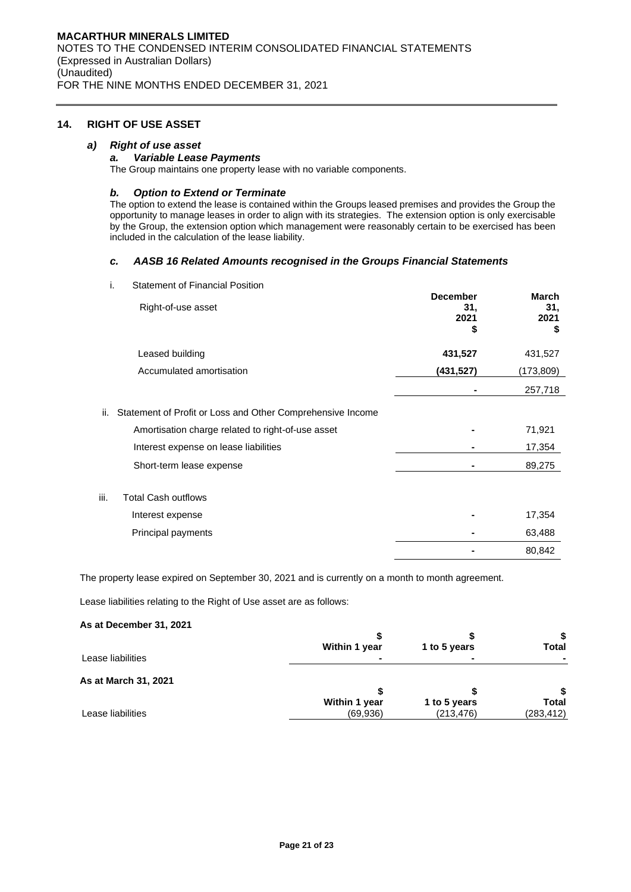### **14. RIGHT OF USE ASSET**

### *a) Right of use asset*

### *a. Variable Lease Payments*

The Group maintains one property lease with no variable components.

### *b. Option to Extend or Terminate*

The option to extend the lease is contained within the Groups leased premises and provides the Group the opportunity to manage leases in order to align with its strategies. The extension option is only exercisable by the Group, the extension option which management were reasonably certain to be exercised has been included in the calculation of the lease liability.

### *c. AASB 16 Related Amounts recognised in the Groups Financial Statements*

i. Statement of Financial Position

|      | Right-of-use asset                                         | <b>December</b><br>31,<br>2021<br>\$ | <b>March</b><br>31,<br>2021<br>\$ |
|------|------------------------------------------------------------|--------------------------------------|-----------------------------------|
|      | Leased building                                            | 431,527                              | 431,527                           |
|      | Accumulated amortisation                                   | (431,527)                            | (173, 809)                        |
|      |                                                            |                                      | 257,718                           |
| ii.  | Statement of Profit or Loss and Other Comprehensive Income |                                      |                                   |
|      | Amortisation charge related to right-of-use asset          |                                      | 71,921                            |
|      | Interest expense on lease liabilities                      |                                      | 17,354                            |
|      | Short-term lease expense                                   |                                      | 89,275                            |
| iii. | <b>Total Cash outflows</b>                                 |                                      |                                   |
|      | Interest expense                                           |                                      | 17,354                            |
|      | Principal payments                                         |                                      | 63,488                            |
|      |                                                            |                                      | 80,842                            |

The property lease expired on September 30, 2021 and is currently on a month to month agreement.

Lease liabilities relating to the Right of Use asset are as follows:

### **As at December 31, 2021**

|                      | Within 1 year | 1 to 5 years | <b>Total</b> |
|----------------------|---------------|--------------|--------------|
| Lease liabilities    |               |              |              |
| As at March 31, 2021 |               |              |              |
|                      | Within 1 year | 1 to 5 years | <b>Total</b> |
| Lease liabilities    | (69,936)      | (213, 476)   | (283, 412)   |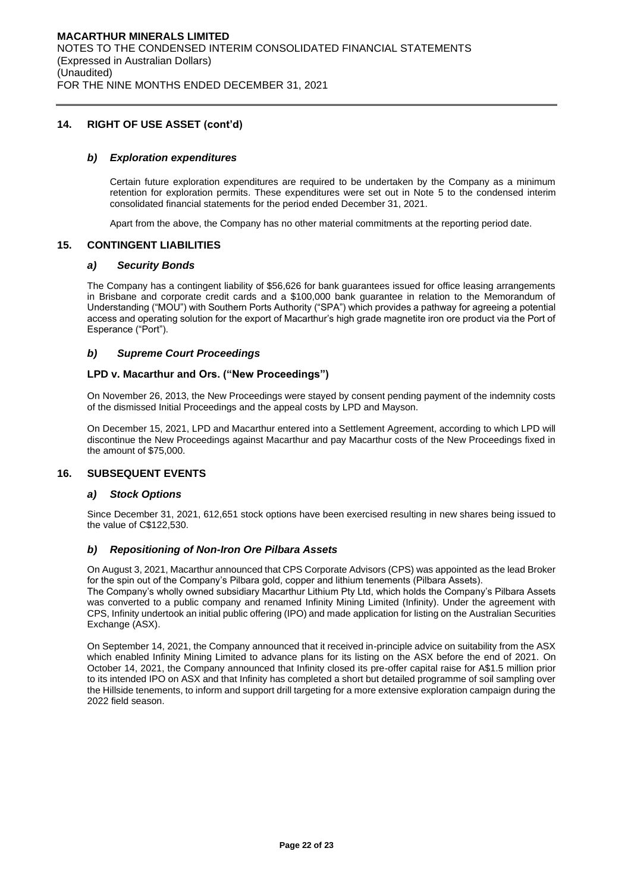### **14. RIGHT OF USE ASSET (cont'd)**

### *b) Exploration expenditures*

Certain future exploration expenditures are required to be undertaken by the Company as a minimum retention for exploration permits. These expenditures were set out in Note 5 to the condensed interim consolidated financial statements for the period ended December 31, 2021.

Apart from the above, the Company has no other material commitments at the reporting period date.

#### **15. CONTINGENT LIABILITIES**

#### *a) Security Bonds*

The Company has a contingent liability of \$56,626 for bank guarantees issued for office leasing arrangements in Brisbane and corporate credit cards and a \$100,000 bank guarantee in relation to the Memorandum of Understanding ("MOU") with Southern Ports Authority ("SPA") which provides a pathway for agreeing a potential access and operating solution for the export of Macarthur's high grade magnetite iron ore product via the Port of Esperance ("Port").

### *b) Supreme Court Proceedings*

#### **LPD v. Macarthur and Ors. ("New Proceedings")**

On November 26, 2013, the New Proceedings were stayed by consent pending payment of the indemnity costs of the dismissed Initial Proceedings and the appeal costs by LPD and Mayson.

On December 15, 2021, LPD and Macarthur entered into a Settlement Agreement, according to which LPD will discontinue the New Proceedings against Macarthur and pay Macarthur costs of the New Proceedings fixed in the amount of \$75,000.

# **16. SUBSEQUENT EVENTS**

#### *a) Stock Options*

Since December 31, 2021, 612,651 stock options have been exercised resulting in new shares being issued to the value of C\$122,530.

### *b) Repositioning of Non-Iron Ore Pilbara Assets*

On August 3, 2021, Macarthur announced that CPS Corporate Advisors (CPS) was appointed as the lead Broker for the spin out of the Company's Pilbara gold, copper and lithium tenements (Pilbara Assets). The Company's wholly owned subsidiary Macarthur Lithium Pty Ltd, which holds the Company's Pilbara Assets

was converted to a public company and renamed Infinity Mining Limited (Infinity). Under the agreement with CPS, Infinity undertook an initial public offering (IPO) and made application for listing on the Australian Securities Exchange (ASX).

On September 14, 2021, the Company announced that it received in-principle advice on suitability from the ASX which enabled Infinity Mining Limited to advance plans for its listing on the ASX before the end of 2021. On October 14, 2021, the Company announced that Infinity closed its pre-offer capital raise for A\$1.5 million prior to its intended IPO on ASX and that Infinity has completed a short but detailed programme of soil sampling over the Hillside tenements, to inform and support drill targeting for a more extensive exploration campaign during the 2022 field season.